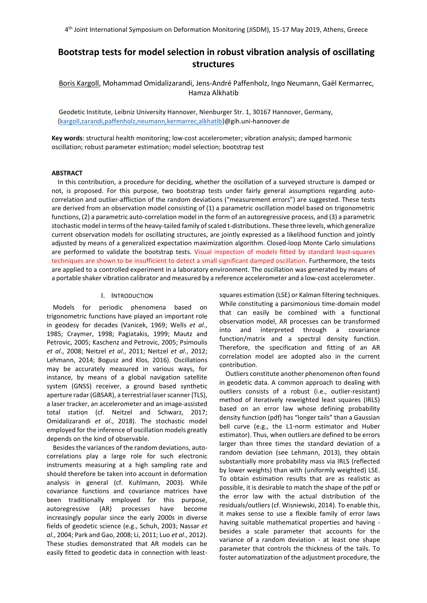# **Bootstrap tests for model selection in robust vibration analysis of oscillating structures**

Boris Kargoll, Mohammad Omidalizarandi, Jens-André Paffenholz, Ingo Neumann, Gaël Kermarrec, Hamza Alkhatib

Geodetic Institute, Leibniz University Hannover, Nienburger Str. 1, 30167 Hannover, Germany, [{kargoll,](mailto:kargoll@gih.uni-hannover.de)zarandi,paffenholz,neumann,kermarrec,alkhatib}@gih.uni-hannover.de

**Key words**: structural health monitoring; low-cost accelerometer; vibration analysis; damped harmonic oscillation; robust parameter estimation; model selection; bootstrap test

## **ABSTRACT**

In this contribution, a procedure for deciding, whether the oscillation of a surveyed structure is damped or not, is proposed. For this purpose, two bootstrap tests under fairly general assumptions regarding autocorrelation and outlier-affliction of the random deviations ("measurement errors") are suggested. These tests are derived from an observation model consisting of (1) a parametric oscillation model based on trigonometric functions, (2) a parametric auto-correlation model in the form of an autoregressive process, and (3) a parametric stochastic model in terms of the heavy-tailed family of scaled t-distributions. These three levels, which generalize current observation models for oscillating structures, are jointly expressed as a likelihood function and jointly adjusted by means of a generalized expectation maximization algorithm. Closed-loop Monte Carlo simulations are performed to validate the bootstrap tests. Visual inspection of models fitted by standard least-squares techniques are shown to be insufficient to detect a small significant damped oscillation. Furthermore, the tests are applied to a controlled experiment in a laboratory environment. The oscillation was generated by means of a portable shaker vibration calibrator and measured by a reference accelerometer and a low-cost accelerometer.

## I. INTRODUCTION

Models for periodic phenomena based on trigonometric functions have played an important role in geodesy for decades (Vanicek, 1969; Wells *et al*., 1985; Craymer, 1998; Pagiatakis, 1999; Mautz and Petrovic, 2005; Kaschenz and Petrovic, 2005; Psimoulis *et al*., 2008; Neitzel *et al*., 2011; Neitzel *et al*., 2012; Lehmann, 2014; Bogusz and Klos, 2016). Oscillations may be accurately measured in various ways, for instance, by means of a global navigation satellite system (GNSS) receiver, a ground based synthetic aperture radar (GBSAR), a terrestrial laser scanner (TLS), a laser tracker, an accelerometer and an image-assisted total station (cf. Neitzel and Schwarz, 2017; Omidalizarandi *et al*., 2018). The stochastic model employed for the inference of oscillation models greatly depends on the kind of observable.

Besides the variances of the random deviations, autocorrelations play a large role for such electronic instruments measuring at a high sampling rate and should therefore be taken into account in deformation analysis in general (cf. Kuhlmann, 2003). While covariance functions and covariance matrices have been traditionally employed for this purpose, autoregressive (AR) processes have become increasingly popular since the early 2000s in diverse fields of geodetic science (e.g., Schuh, 2003; Nassar *et al*., 2004; Park and Gao, 2008; Li, 2011; Luo *et al*., 2012). These studies demonstrated that AR models can be easily fitted to geodetic data in connection with leastsquares estimation (LSE) or Kalman filtering techniques. While constituting a parsimonious time-domain model that can easily be combined with a functional observation model, AR processes can be transformed into and interpreted through a covariance function/matrix and a spectral density function. Therefore, the specification and fitting of an AR correlation model are adopted also in the current contribution.

Outliers constitute another phenomenon often found in geodetic data. A common approach to dealing with outliers consists of a robust (i.e., outlier-resistant) method of iteratively reweighted least squares (IRLS) based on an error law whose defining probability density function (pdf) has "longer tails" than a Gaussian bell curve (e.g., the L1-norm estimator and Huber estimator). Thus, when outliers are defined to be errors larger than three times the standard deviation of a random deviation (see Lehmann, 2013), they obtain substantially more probability mass via IRLS (reflected by lower weights) than with (uniformly weighted) LSE. To obtain estimation results that are as realistic as possible, it is desirable to match the shape of the pdf or the error law with the actual distribution of the residuals/outliers (cf. Wisniewski, 2014). To enable this, it makes sense to use a flexible family of error laws having suitable mathematical properties and having besides a scale parameter that accounts for the variance of a random deviation - at least one shape parameter that controls the thickness of the tails. To foster automatization of the adjustment procedure, the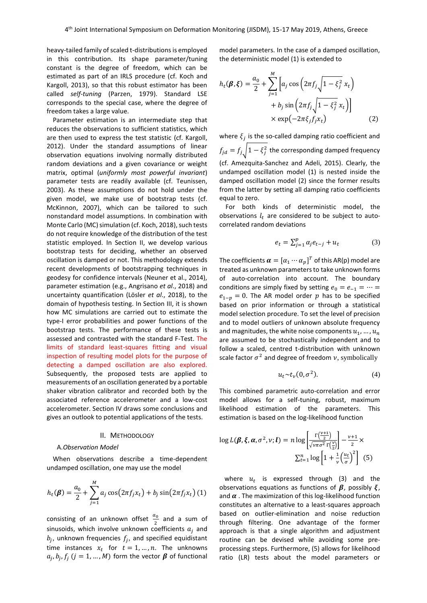heavy-tailed family of scaled t-distributions is employed in this contribution. Its shape parameter/tuning constant is the degree of freedom, which can be estimated as part of an IRLS procedure (cf. Koch and Kargoll, 2013), so that this robust estimator has been called *self-tuning* (Parzen, 1979). Standard LSE corresponds to the special case, where the degree of freedom takes a large value.

Parameter estimation is an intermediate step that reduces the observations to sufficient statistics, which are then used to express the test statistic (cf. Kargoll, 2012). Under the standard assumptions of linear observation equations involving normally distributed random deviations and a given covariance or weight matrix, optimal (*uniformly most powerful invariant*) parameter tests are readily available (cf. Teunissen, 2003). As these assumptions do not hold under the given model, we make use of bootstrap tests (cf. McKinnon, 2007), which can be tailored to such nonstandard model assumptions. In combination with Monte Carlo (MC) simulation (cf. Koch, 2018), such tests do not require knowledge of the distribution of the test statistic employed. In Section II, we develop various bootstrap tests for deciding, whether an observed oscillation is damped or not. This methodology extends recent developments of bootstrapping techniques in geodesy for confidence intervals (Neuner et al., 2014), parameter estimation (e.g., Angrisano *et al*., 2018) and uncertainty quantification (Lösler *et al*., 2018), to the domain of hypothesis testing. In Section III, it is shown how MC simulations are carried out to estimate the type-I error probabilities and power functions of the bootstrap tests. The performance of these tests is assessed and contrasted with the standard F-Test. The limits of standard least-squares fitting and visual inspection of resulting model plots for the purpose of detecting a damped oscillation are also explored. Subsequently, the proposed tests are applied to measurements of an oscillation generated by a portable shaker vibration calibrator and recorded both by the associated reference accelerometer and a low-cost accelerometer. Section IV draws some conclusions and gives an outlook to potential applications of the tests.

#### II. METHODOLOGY

#### A.*Observation Model*

When observations describe a time-dependent undamped oscillation, one may use the model

$$
h_t(\boldsymbol{\beta}) = \frac{a_0}{2} + \sum_{j=1}^{M} a_j \cos(2\pi f_j x_t) + b_j \sin(2\pi f_j x_t) (1)
$$

consisting of an unknown offset  $\frac{a_0}{2}$  and a sum of sinusoids, which involve unknown coefficients  $a_i$  and  $b_j$ , unknown frequencies  $f_j$ , and specified equidistant time instances  $x_t$  for  $t = 1, ..., n$ . The unknowns  $a_j, b_j, f_j$   $(j = 1, ..., M)$  form the vector  $\beta$  of functional model parameters. In the case of a damped oscillation, the deterministic model (1) is extended to

$$
h_t(\boldsymbol{\beta}, \boldsymbol{\xi}) = \frac{a_0}{2} + \sum_{j=1}^{M} \left[ a_j \cos \left( 2\pi f_j \sqrt{1 - \xi_j^2} x_t \right) + b_j \sin \left( 2\pi f_j \sqrt{1 - \xi_j^2} x_t \right) \right] \times \exp(-2\pi \xi_j f_j x_t)
$$
(2)

where  $\xi_j$  is the so-called damping ratio coefficient and  $f_{jd} = f_{j} \sqrt{1 - \xi_j^2}$  the corresponding damped frequency (cf. Amezquita-Sanchez and Adeli, 2015). Clearly, the undamped oscillation model (1) is nested inside the damped oscillation model (2) since the former results from the latter by setting all damping ratio coefficients equal to zero.

For both kinds of deterministic model, the observations  $l_t$  are considered to be subject to autocorrelated random deviations

$$
e_t = \sum_{j=1}^p \alpha_j e_{t-j} + u_t \tag{3}
$$

The coefficients  $\boldsymbol{\alpha} = [\alpha_1 \cdots \alpha_p]^T$  of this AR(p) model are treated as unknown parameters to take unknown forms of auto-correlation into account. The boundary conditions are simply fixed by setting  $e_0 = e_{-1} = \cdots =$  $e_{1-p} = 0$ . The AR model order p has to be specified based on prior information or through a statistical model selection procedure. To set the level of precision and to model outliers of unknown absolute frequency and magnitudes, the white noise components  $u_1, ..., u_n$ are assumed to be stochastically independent and to follow a scaled, centred t-distribution with unknown scale factor  $\sigma^2$  and degree of freedom  $\nu$ , symbolically

$$
u_t \sim t_\nu(0, \sigma^2). \tag{4}
$$

This combined parametric auto-correlation and error model allows for a self-tuning, robust, maximum likelihood estimation of the parameters. This estimation is based on the log-likelihood function

$$
\log L(\boldsymbol{\beta}, \boldsymbol{\xi}, \boldsymbol{\alpha}, \sigma^2, \nu; \boldsymbol{l}) = n \log \left[ \frac{\Gamma(\frac{\nu+1}{2})}{\sqrt{\nu \pi \sigma^2} \Gamma(\frac{\nu}{2})} \right] - \frac{\nu+1}{2} \times \frac{\Gamma(n+1)}{\Gamma(n+1)} \sum_{t=1}^n \log \left[ 1 + \frac{1}{\nu} \left( \frac{u_t}{\sigma} \right)^2 \right] \tag{5}
$$

where  $u_t$  is expressed through (3) and the observations equations as functions of  $\beta$ , possibly  $\xi$ , and  $\alpha$  . The maximization of this log-likelihood function constitutes an alternative to a least-squares approach based on outlier-elimination and noise reduction through filtering. One advantage of the former approach is that a single algorithm and adjustment routine can be devised while avoiding some preprocessing steps. Furthermore, (5) allows for likelihood ratio (LR) tests about the model parameters or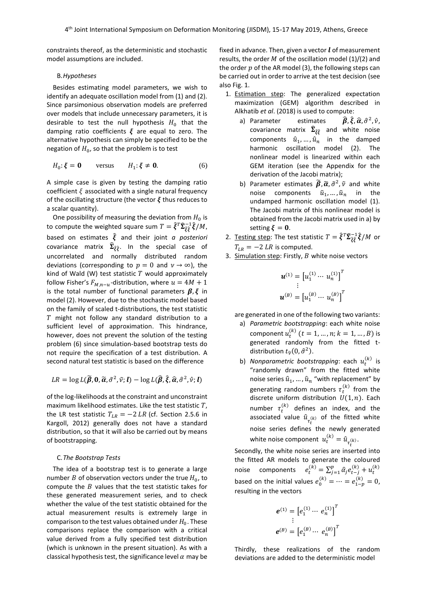constraints thereof, as the deterministic and stochastic model assumptions are included.

## B.*Hypotheses*

Besides estimating model parameters, we wish to identify an adequate oscillation model from (1) and (2). Since parsimonious observation models are preferred over models that include unnecessary parameters, it is desirable to test the null hypothesis  $H_0$  that the damping ratio coefficients  $\xi$  are equal to zero. The alternative hypothesis can simply be specified to be the negation of  $H_0$ , so that the problem is to test

$$
H_0: \xi = \mathbf{0} \qquad \text{versus} \qquad H_1: \xi \neq \mathbf{0}. \tag{6}
$$

A simple case is given by testing the damping ratio coefficient  $\xi$  associated with a single natural frequency of the oscillating structure (the vector  $\xi$  thus reduces to a scalar quantity).

One possibility of measuring the deviation from  $H_0$  is to compute the weighted square sum  $T = \widehat{\xi}^T \widehat{\Sigma}_{\widehat{\xi} \widehat{\xi}}^{-1} \widehat{\xi}/M$ , based on estimates  $\hat{\xi}$  and their joint *a posteriori* covariance matrix  $\widehat{\mathbf{\Sigma}}_{\widehat{\xi} \widehat{\xi}}$ . In the special case of uncorrelated and normally distributed random deviations (corresponding to  $p = 0$  and  $v \rightarrow \infty$ ), the kind of Wald (W) test statistic  $T$  would approximately follow Fisher's  $F_{M,n-u}$ -distribution, where  $u = 4M + 1$ is the total number of functional parameters  $\beta$ ,  $\xi$  in model (2). However, due to the stochastic model based on the family of scaled t-distributions, the test statistic  $T$  might not follow any standard distribution to a sufficient level of approximation. This hindrance, however, does not prevent the solution of the testing problem (6) since simulation-based bootstrap tests do not require the specification of a test distribution. A second natural test statistic is based on the difference

$$
LR = \log L(\widetilde{\boldsymbol{\beta}}, \mathbf{0}, \widetilde{\boldsymbol{\alpha}}, \widetilde{\sigma}^2, \widetilde{\nu}; \boldsymbol{l}) - \log L(\widehat{\boldsymbol{\beta}}, \widehat{\boldsymbol{\xi}}, \widehat{\boldsymbol{\alpha}}, \widehat{\sigma}^2, \widehat{\nu}; \boldsymbol{l})
$$

of the log-likelihoods at the constraint and unconstraint maximum likelihood estimates. Like the test statistic  $T$ , the LR test statistic  $T_{LR} = -2 \, LR$  (cf. Section 2.5.6 in Kargoll, 2012) generally does not have a standard distribution, so that it will also be carried out by means of bootstrapping.

#### C.*The Bootstrap Tests*

The idea of a bootstrap test is to generate a large number  $B$  of observation vectors under the true  $H_0$ , to compute the  $B$  values that the test statistic takes for these generated measurement series, and to check whether the value of the test statistic obtained for the actual measurement results is extremely large in comparison to the test values obtained under  $H_0$ . These comparisons replace the comparison with a critical value derived from a fully specified test distribution (which is unknown in the present situation). As with a classical hypothesis test, the significance level  $\alpha$  may be

fixed in advance. Then, given a vector  $\boldsymbol{l}$  of measurement results, the order  $M$  of the oscillation model (1)/(2) and the order  $p$  of the AR model (3), the following steps can be carried out in order to arrive at the test decision (see also Fig. 1.

- 1. Estimation step: The generalized expectation maximization (GEM) algorithm described in Alkhatib *et al*. (2018) is used to compute:
	- a) Parameter estimates  $^2, \hat{\nu},$ covariance matrix  $\widehat{\Sigma}_{\widehat{\xi}\widehat{\xi}}$  and white noise components  $\hat{u}_1, \dots, \hat{u}_n$  in the damped harmonic oscillation model (2). The nonlinear model is linearized within each GEM iteration (see the Appendix for the derivation of the Jacobi matrix);
	- b) Parameter estimates  $\widetilde{\beta}$ ,  $\widetilde{\alpha}$ ,  $\widetilde{\sigma}^2$ ,  $\widetilde{\nu}$  and white noise components  $\tilde{u}_1, ..., \tilde{u}_n$  in the undamped harmonic oscillation model (1). The Jacobi matrix of this nonlinear model is obtained from the Jacobi matrix used in a) by setting  $\xi = 0$ .
- 2. Testing step: The test statistic  $T = \widehat{\xi}^T \widehat{\Sigma}_{\widehat{\xi} \widehat{\xi}}^{-1} \widehat{\xi}/M$  or  $T_{LR} = -2$  LR is computed.
- 3. Simulation step: Firstly,  $B$  white noise vectors

$$
\mathbf{u}^{(1)} = \begin{bmatrix} u_1^{(1)} \cdots u_n^{(1)} \end{bmatrix}^T
$$

$$
\mathbf{u}^{(B)} = \begin{bmatrix} u_1^{(B)} \cdots u_n^{(B)} \end{bmatrix}^T
$$

are generated in one of the following two variants:

- a) *Parametric bootstrapping*: each white noise component  $u_t^{(k)}$   $(t = 1, ..., n; k = 1, ..., B)$  is generated randomly from the fitted tdistribution  $t_{\widehat{\nu}}(0,\widehat{\sigma}^2)$ .
- b) *Nonparametric bootstrapping*: each  $u_t^{(k)}$  is "randomly drawn" from the fitted white noise series  $\hat{u}_1, ..., \hat{u}_n$  "with replacement" by generating random numbers  $\tau_t^{(k)}$  from the discrete uniform distribution  $\tilde{U}(1, n)$ . Each number  $\tau_t^{(k)}$  defines an index, and the associated value  $\hat{u}_{\tau_t^{(k)}}$  of the fitted white noise series defines the newly generated white noise component  $u_t^{(k)} = \hat{u}_{\tau_t^{(k)}}$ .

Secondly, the white noise series are inserted into the fitted AR models to generate the coloured noise components  $e_t^{(k)} = \sum_{j=1}^p \hat{\alpha}_j e_{t-j}^{(k)} +$  $_{j=1}^{p} \hat{a}_{j} e_{t-j}^{(k)} + u_{t}^{(k)}$ based on the initial values  $e_0^{(k)} = \cdots = e_{1-p}^{(k)} = 0$ , resulting in the vectors

$$
e^{(1)} = [e_1^{(1)} \cdots e_n^{(1)}]^T
$$
  
 
$$
e^{(B)} = [e_1^{(B)} \cdots e_n^{(B)}]^T
$$

Thirdly, these realizations of the random deviations are added to the deterministic model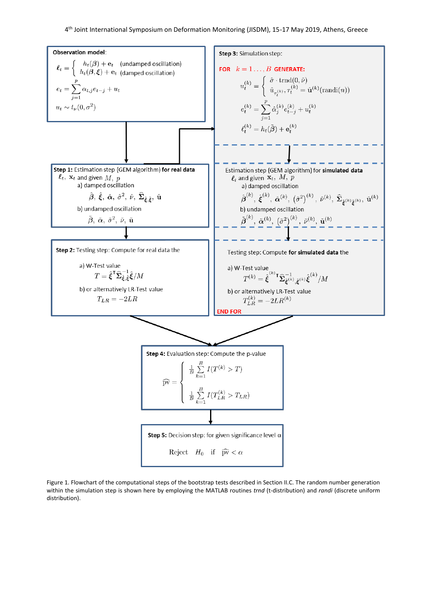

Figure 1. Flowchart of the computational steps of the bootstrap tests described in Section II.C. The random number generation within the simulation step is shown here by employing the MATLAB routines *trnd* (t-distribution) and *randi* (discrete uniform distribution).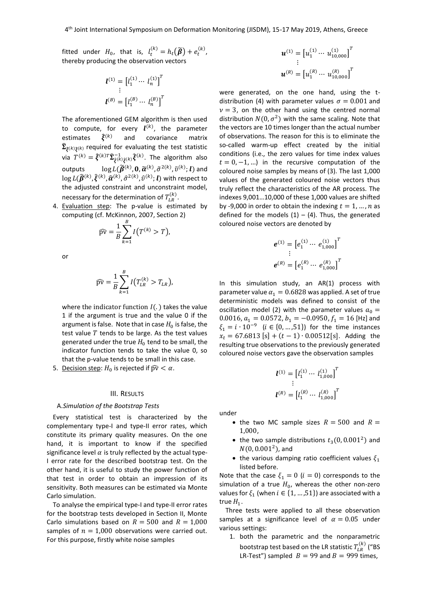fitted under  $H_0$ , that is,  $l_t^{(k)} = h_t(\widetilde{\boldsymbol{\beta}}) + e_t^{(k)}$ , thereby producing the observation vectors

$$
l^{(1)} = [l_1^{(1)} \cdots l_n^{(1)}]^T
$$
  
 
$$
l^{(B)} = [l_1^{(B)} \cdots l_n^{(B)}]^T
$$

The aforementioned GEM algorithm is then used to compute, for every  $\bm{l}^{(k)}$ , the parameter estimates  $\hat{\xi}^{(k)}$ and covariance matrix  $\widehat{\mathbf{\Sigma}}_{\widehat{\xi}^{(k)}\widehat{\xi}^{(k)}}$  required for evaluating the test statistic via  $T^{(k)} = \hat{\xi}^{(k)T} \widehat{\Sigma}_{\hat{\xi}^{(k)} \hat{\xi}^{(k)}} \widehat{\xi}^{(k)}$ . The algorithm also outputs  $\log L(\widetilde{\pmb{\beta}}^{(k)}, \pmb{0}, \widetilde{\pmb{\alpha}}^{(k)}, \widetilde{\sigma}^{2(k)}, \widetilde{v}^{(k)}; \pmb{l})$  and  $\log L(\widehat{\bm{\beta}}^{(k)},\widehat{\bm{\xi}}^{(k)},\widehat{\bm{a}}^{(k)},\widehat{\sigma}^{2(k)},\widehat{v}^{(k)};\bm{l})$  with respect to the adjusted constraint and unconstraint model, necessary for the determination of  $T^{(k)}_{LR}$ .

4. Evaluation step: The p-value is estimated by computing (cf. McKinnon, 2007, Section 2)

$$
\widehat{pv} = \frac{1}{B} \sum_{k=1}^{B} I\big(T^{(k)} > T\big),
$$

or

$$
\widehat{pv} = \frac{1}{B} \sum_{k=1}^{B} I(T_{LR}^{(k)} > T_{LR}),
$$

where the indicator function  $I(.)$  takes the value 1 if the argument is true and the value 0 if the argument is false. Note that in case  $H_0$  is false, the test value  $T$  tends to be large. As the test values generated under the true  $H_0$  tend to be small, the indicator function tends to take the value 0, so that the p-value tends to be small in this case.

5. <u>Decision step</u>:  $H_0$  is rejected if  $\widehat{pv} < \alpha$ .

#### III. RESULTS

## A.*Simulation of the Bootstrap Tests*

Every statistical test is characterized by the complementary type-I and type-II error rates, which constitute its primary quality measures. On the one hand, it is important to know if the specified significance level  $\alpha$  is truly reflected by the actual type-I error rate for the described bootstrap test. On the other hand, it is useful to study the power function of that test in order to obtain an impression of its sensitivity. Both measures can be estimated via Monte Carlo simulation.

To analyse the empirical type-I and type-II error rates for the bootstrap tests developed in Section II, Monte Carlo simulations based on  $R = 500$  and  $R = 1,000$ samples of  $n = 1,000$  observations were carried out. For this purpose, firstly white noise samples

$$
\mathbf{u}^{(1)} = \begin{bmatrix} u_1^{(1)} \cdots u_{10,000}^{(1)} \end{bmatrix}^T
$$
  
:\n
$$
\mathbf{u}^{(R)} = \begin{bmatrix} u_1^{(R)} \cdots u_{10,000}^{(R)} \end{bmatrix}^T
$$

were generated, on the one hand, using the tdistribution (4) with parameter values  $\sigma = 0.001$  and  $v = 3$ , on the other hand using the centred normal distribution  $N(0, \sigma^2)$  with the same scaling. Note that the vectors are 10 times longer than the actual number of observations. The reason for this is to eliminate the so-called warm-up effect created by the initial conditions (i.e., the zero values for time index values  $t = 0, -1, ...$ ) in the recursive computation of the coloured noise samples by means of (3). The last 1,000 values of the generated coloured noise vectors thus truly reflect the characteristics of the AR process. The indexes 9,001…10,000 of these 1,000 values are shifted by -9,000 in order to obtain the indexing  $t = 1, ..., n$  as defined for the models  $(1) - (4)$ . Thus, the generated coloured noise vectors are denoted by

$$
\boldsymbol{e}^{(1)} = \left[e_1^{(1)} \cdots \ e_{1,000}^{(1)}\right]^T
$$

$$
\vdots
$$

$$
\boldsymbol{e}^{(R)} = \left[e_1^{(R)} \cdots \ e_{1,000}^{(R)}\right]^T
$$

In this simulation study, an AR(1) process with parameter value  $\alpha_1 = 0.6828$  was applied. A set of true deterministic models was defined to consist of the oscillation model (2) with the parameter values  $a_0 =$ 0.0016,  $a_1 = 0.0572$ ,  $b_1 = -0.0950$ ,  $f_1 = 16$  [Hz] and  $\xi_1 = i \cdot 10^{-9}$  ( $i \in \{0, ..., 51\}$ ) for the time instances  $x_t = 67.6813$  [s] +  $(t - 1) \cdot 0.00512$  [s]. Adding the resulting true observations to the previously generated coloured noise vectors gave the observation samples

$$
\boldsymbol{l}^{(1)} = \begin{bmatrix} l_1^{(1)} & \cdots & l_{1,000}^{(1)} \end{bmatrix}^T
$$
  
:\n
$$
\boldsymbol{l}^{(R)} = \begin{bmatrix} l_1^{(R)} & \cdots & l_{1,000}^{(R)} \end{bmatrix}^T
$$

under

- the two MC sample sizes  $R = 500$  and  $R =$ 1,000,
- the two sample distributions  $t_3(0, 0.001^2)$  and  $N(0, 0.001^2)$ , and
- the various damping ratio coefficient values  $\xi_1$ listed before.

Note that the case  $\xi_1 = 0$   $(i = 0)$  corresponds to the simulation of a true  $H_0$ , whereas the other non-zero values for  $\xi_1$  (when  $i \in \{1, ..., 51\}$ ) are associated with a true  $H_1$ .

Three tests were applied to all these observation samples at a significance level of  $\alpha = 0.05$  under various settings:

1. both the parametric and the nonparametric bootstrap test based on the LR statistic  $T_{LR}^{(k)}$  ("BS LR-Test") sampled  $B = 99$  and  $B = 999$  times,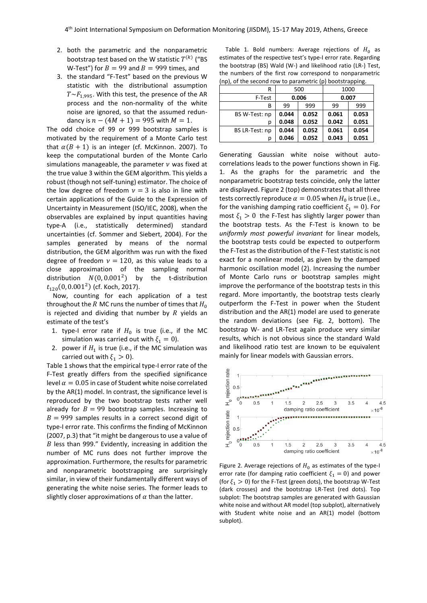- 2. both the parametric and the nonparametric bootstrap test based on the W statistic  $T^{(k)}$  ("BS W-Test") for  $B = 99$  and  $B = 999$  times, and
- 3. the standard "F-Test" based on the previous W statistic with the distributional assumption  $T \sim F_{1,995}$ . With this test, the presence of the AR process and the non-normality of the white noise are ignored, so that the assumed redundancy is  $n - (4M + 1) = 995$  with  $M = 1$ .

The odd choice of 99 or 999 bootstrap samples is motivated by the requirement of a Monte Carlo test that  $\alpha ( B + 1)$  is an integer (cf. McKinnon. 2007). To keep the computational burden of the Monte Carlo simulations manageable, the parameter  $\nu$  was fixed at the true value 3 within the GEM algorithm. This yields a robust (though not self-tuning) estimator. The choice of the low degree of freedom  $v = 3$  is also in line with certain applications of the Guide to the Expression of Uncertainty in Measurement (ISO/IEC, 2008), when the observables are explained by input quantities having type-A (i.e., statistically determined) standard uncertainties (cf. Sommer and Siebert, 2004). For the samples generated by means of the normal distribution, the GEM algorithm was run with the fixed degree of freedom  $v = 120$ , as this value leads to a close approximation of the sampling normal distribution  $N(0, 0.001^2)$ ) by the t-distribution  $t_{120}(0, 0.001^2)$  (cf. Koch, 2017).

Now, counting for each application of a test throughout the R MC runs the number of times that  $H_0$ is rejected and dividing that number by  $R$  yields an estimate of the test's

- 1. type-I error rate if  $H_0$  is true (i.e., if the MC simulation was carried out with  $\xi_1 = 0$ ).
- 2. power if  $H_1$  is true (i.e., if the MC simulation was carried out with  $\xi_1 > 0$ ).

Table 1 shows that the empirical type-I error rate of the F-Test greatly differs from the specified significance level  $\alpha = 0.05$  in case of Student white noise correlated by the AR(1) model. In contrast, the significance level is reproduced by the two bootstrap tests rather well already for  $B = 99$  bootstrap samples. Increasing to  $B = 999$  samples results in a correct second digit of type-I error rate. This confirms the finding of McKinnon (2007, p.3) that "it might be dangerous to use a value of  $B$  less than 999." Evidently, increasing in addition the number of MC runs does not further improve the approximation. Furthermore, the results for parametric and nonparametric bootstrapping are surprisingly similar, in view of their fundamentally different ways of generating the white noise series. The former leads to slightly closer approximations of  $\alpha$  than the latter.

Table 1. Bold numbers: Average rejections of  $H_0$  as estimates of the respective test's type-I error rate. Regarding the bootstrap (BS) Wald (W-) and likelihood ratio (LR-) Test, the numbers of the first row correspond to nonparametric (np), of the second row to parametric (p) bootstrapping.

| R              | 500   |       | 1000  |       |
|----------------|-------|-------|-------|-------|
| F-Test         | 0.006 |       | 0.007 |       |
| В              | 99    | 999   | 99    | 999   |
| BS W-Test: np  | 0.044 | 0.052 | 0.061 | 0.053 |
| р              | 0.048 | 0.052 | 0.042 | 0.051 |
| BS LR-Test: np | 0.044 | 0.052 | 0.061 | 0.054 |
| р              | 0.046 | 0.052 | 0.043 | 0.051 |

Generating Gaussian white noise without autocorrelations leads to the power functions shown in Fig. 1. As the graphs for the parametric and the nonparametric bootstrap tests coincide, only the latter are displayed. Figure 2 (top) demonstrates that all three tests correctly reproduce  $\alpha = 0.05$  when  $H_0$  is true (i.e., for the vanishing damping ratio coefficient  $\xi_1 = 0$ ). For most  $\xi_1 > 0$  the F-Test has slightly larger power than the bootstrap tests. As the F-Test is known to be *uniformly most powerful invariant* for linear models, the bootstrap tests could be expected to outperform the F-Test as the distribution of the F-Test statistic is not exact for a nonlinear model, as given by the damped harmonic oscillation model (2). Increasing the number of Monte Carlo runs or bootstrap samples might improve the performance of the bootstrap tests in this regard. More importantly, the bootstrap tests clearly outperform the F-Test in power when the Student distribution and the AR(1) model are used to generate the random deviations (see Fig. 2, bottom). The bootstrap W- and LR-Test again produce very similar results, which is not obvious since the standard Wald and likelihood ratio test are known to be equivalent mainly for linear models with Gaussian errors.



Figure 2. Average rejections of  $H_0$  as estimates of the type-I error rate (for damping ratio coefficient  $\xi_1 = 0$ ) and power (for  $\xi_1 > 0$ ) for the F-Test (green dots), the bootstrap W-Test (dark crosses) and the bootstrap LR-Test (red dots). Top subplot: The bootstrap samples are generated with Gaussian white noise and without AR model (top subplot), alternatively with Student white noise and an AR(1) model (bottom subplot).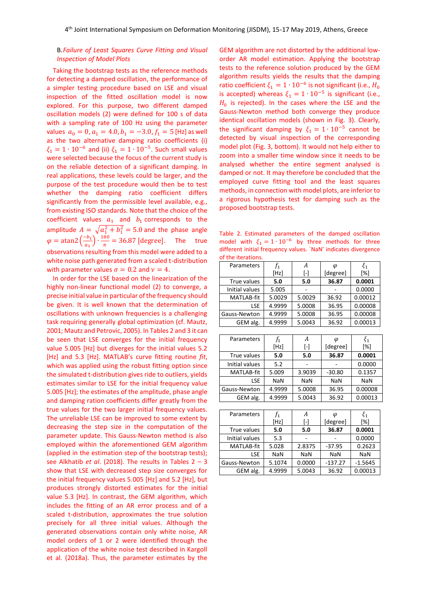# B.*Failure of Least Squares Curve Fitting and Visual Inspection of Model Plots*

Taking the bootstrap tests as the reference methods for detecting a damped oscillation, the performance of a simpler testing procedure based on LSE and visual inspection of the fitted oscillation model is now explored. For this purpose, two different damped oscillation models (2) were defined for 100 s of data with a sampling rate of 100 Hz using the parameter values  $a_0 = 0$ ,  $a_1 = 4.0$ ,  $b_1 = -3.0$ ,  $f_1 = 5$  [Hz] as well as the two alternative damping ratio coefficients (i)  $\xi_1 = 1 \cdot 10^{-6}$  and (ii)  $\xi_1 = 1 \cdot 10^{-5}$ . Such small values were selected because the focus of the current study is on the reliable detection of a significant damping. In real applications, these levels could be larger, and the purpose of the test procedure would then be to test whether the damping ratio coefficient differs significantly from the permissible level available, e.g., from existing ISO standards. Note that the choice of the coefficient values  $a_1$  and  $b_1$  corresponds to the amplitude  $A = \sqrt{a_1^2 + b_1^2} = 5.0$  and the phase angle  $\varphi = \text{atan2} \left( \frac{-b_1}{a} \right)$  $\left(\frac{-b_1}{a_1}\right) \cdot \frac{180}{\pi}$  $\frac{30}{\pi}$  = 36.87 [degree]. The true observations resulting from this model were added to a white noise path generated from a scaled t-distribution with parameter values  $\sigma = 0.2$  and  $\nu = 4$ .

In order for the LSE based on the linearization of the highly non-linear functional model (2) to converge, a precise initial value in particular of the frequency should be given. It is well known that the determination of oscillations with unknown frequencies is a challenging task requiring generally global optimization (cf. Mautz, 2001; Mautz and Petrovic, 2005). In Tables 2 and 3 it can be seen that LSE converges for the initial frequency value 5.005 [Hz] but diverges for the initial values 5.2 [Hz] and 5.3 [Hz]. MATLAB's curve fitting routine *fit*, which was applied using the robust fitting option since the simulated t-distribution gives ride to outliers, yields estimates similar to LSE for the initial frequency value 5.005 [Hz]; the estimates of the amplitude, phase angle and damping ration coefficients differ greatly from the true values for the two larger initial frequency values. The unreliable LSE can be improved to some extent by decreasing the step size in the computation of the parameter update. This Gauss-Newton method is also employed within the aforementioned GEM algorithm (applied in the estimation step of the bootstrap tests); see Alkhatib *et al*. (2018). The results in Tables 2 – 3 show that LSE with decreased step size converges for the initial frequency values 5.005 [Hz] and 5.2 [Hz], but produces strongly distorted estimates for the initial value 5.3 [Hz]. In contrast, the GEM algorithm, which includes the fitting of an AR error process and of a scaled t-distribution, approximates the true solution precisely for all three initial values. Although the generated observations contain only white noise, AR model orders of 1 or 2 were identified through the application of the white noise test described in Kargoll et al. (2018a). Thus, the parameter estimates by the GEM algorithm are not distorted by the additional loworder AR model estimation. Applying the bootstrap tests to the reference solution produced by the GEM algorithm results yields the results that the damping ratio coefficient  $\xi_1 = 1 \cdot 10^{-6}$  is not significant (i.e.,  $H_0$ is accepted) whereas  $\xi_1 = 1 \cdot 10^{-5}$  is significant (i.e.,  $H_0$  is rejected). In the cases where the LSE and the Gauss-Newton method both converge they produce identical oscillation models (shown in Fig. 3). Clearly, the significant damping by  $\xi_1 = 1 \cdot 10^{-5}$  cannot be detected by visual inspection of the corresponding model plot (Fig. 3, bottom). It would not help either to zoom into a smaller time window since it needs to be analysed whether the entire segment analysed is damped or not. It may therefore be concluded that the employed curve fitting tool and the least squares methods, in connection with model plots, are inferior to a rigorous hypothesis test for damping such as the proposed bootstrap tests.

Table 2. Estimated parameters of the damped oscillation model with  $\xi_1 = 1 \cdot 10^{-6}$  by three methods for three different initial frequency values. `NaN' indicates divergence of the iterations.

| Parameters        | f,     |        | φ        | $\xi_1$ |
|-------------------|--------|--------|----------|---------|
|                   | [Hz]   | l-l    | [degree] | [%]     |
| True values       | 5.0    | 5.0    | 36.87    | 0.0001  |
| Initial values    | 5.005  |        |          | 0.0000  |
| <b>MATLAB-fit</b> | 5.0029 | 5.0029 | 36.92    | 0.00012 |
| LSE               | 4.9999 | 5.0008 | 36.95    | 0.00008 |
| Gauss-Newton      | 4.9999 | 5.0008 | 36.95    | 0.00008 |
| GEM alg.          | 4.9999 | 5.0043 | 36.92    | 0.00013 |
|                   |        |        |          |         |
| Parameters        |        |        |          |         |

| .                 | 71<br>[Hz] | $\overline{\phantom{a}}$<br>$\lbrack \cdot \rbrack$ | [degree]   | [%]        |
|-------------------|------------|-----------------------------------------------------|------------|------------|
| True values       | 5.0        | 5.0                                                 | 36.87      | 0.0001     |
| Initial values    | 5.2        |                                                     |            | 0.0000     |
| <b>MATLAB-fit</b> | 5.009      | 3.9039                                              | $-30.80$   | 0.1357     |
| LSE.              | <b>NaN</b> | <b>NaN</b>                                          | <b>NaN</b> | <b>NaN</b> |
| Gauss-Newton      | 4.9999     | 5.0008                                              | 36.95      | 0.00008    |
| GEM alg.          | 4.9999     | 5.0043                                              | 36.92      | 0.00013    |

| Parameters     |            | А          | Φ          | $\xi_1$    |
|----------------|------------|------------|------------|------------|
|                | [Hz]       | ſ-1        | [degree]   | [%]        |
| True values    | 5.0        | 5.0        | 36.87      | 0.0001     |
| Initial values | 5.3        |            |            | 0.0000     |
| MATLAB-fit     | 5.028      | 2.8375     | $-37.95$   | 0.2623     |
| LSE            | <b>NaN</b> | <b>NaN</b> | <b>NaN</b> | <b>NaN</b> |
| Gauss-Newton   | 5.1074     | 0.0000     | $-137.27$  | $-1.5645$  |
| GEM alg.       | 4.9999     | 5.0043     | 36.92      | 0.00013    |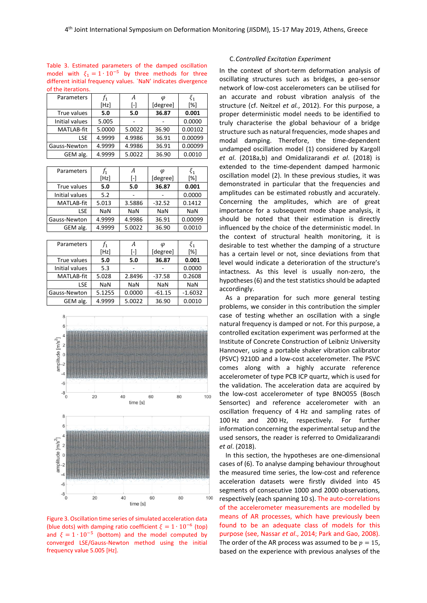| of the iterations. |         |                   |          |         |  |
|--------------------|---------|-------------------|----------|---------|--|
| Parameters         | $f_{1}$ | А                 | Φ        | $\xi_1$ |  |
|                    | [Hz]    | $\lceil - \rceil$ | [degree] | [%]     |  |
| True values        | 5.0     | 5.0               | 36.87    | 0.001   |  |
| Initial values     | 5.005   |                   |          | 0.0000  |  |
| <b>MATLAB-fit</b>  | 5.0000  | 5.0022            | 36.90    | 0.00102 |  |
| <b>LSE</b>         | 4.9999  | 4.9986            | 36.91    | 0.00099 |  |
| Gauss-Newton       | 4.9999  | 4.9986            | 36.91    | 0.00099 |  |
| GEM alg.           | 4.9999  | 5.0022            | 36.90    | 0.0010  |  |

Table 3. Estimated parameters of the damped oscillation model with  $\xi_1 = 1 \cdot 10^{-5}$  by three methods for three different initial frequency values. `NaN' indicates divergence

| <b>Parameters</b> | t1         | А          | φ          | $\xi_1$    |
|-------------------|------------|------------|------------|------------|
|                   | [Hz]       | H          | [degree]   | [%]        |
| True values       | 5.0        | 5.0        | 36.87      | 0.001      |
| Initial values    | 5.2        |            |            | 0.0000     |
| MATLAB-fit        | 5.013      | 3.5886     | $-32.52$   | 0.1412     |
| LSE               | <b>NaN</b> | <b>NaN</b> | <b>NaN</b> | <b>NaN</b> |
| Gauss-Newton      | 4.9999     | 4.9986     | 36.91      | 0.00099    |
| GEM alg.          | 4.9999     | 5.0022     | 36.90      | 0.0010     |

| Parameters          |            | А                 | φ          | $\xi_1$    |
|---------------------|------------|-------------------|------------|------------|
|                     | [Hz]       | $\lceil - \rceil$ | [degree]   | [%]        |
| True values         | 5.0        | 5.0               | 36.87      | 0.001      |
| Initial values      | 5.3        |                   |            | 0.0000     |
| MATLAB-fit          | 5.028      | 2.8496            | $-37.58$   | 0.2608     |
| LSE.                | <b>NaN</b> | <b>NaN</b>        | <b>NaN</b> | <b>NaN</b> |
| <b>Gauss-Newton</b> | 5.1255     | 0.0000            | $-61.15$   | $-1.6032$  |
| GEM alg.            | 4.9999     | 5.0022            | 36.90      | 0.0010     |



Figure 3. Oscillation time series of simulated acceleration data (blue dots) with damping ratio coefficient  $\xi = 1 \cdot 10^{-6}$  (top) and  $\xi = 1 \cdot 10^{-5}$  (bottom) and the model computed by converged LSE/Gauss-Newton method using the initial frequency value 5.005 [Hz].

## C.*Controlled Excitation Experiment*

In the context of short-term deformation analysis of oscillating structures such as bridges, a geo-sensor network of low-cost accelerometers can be utilised for an accurate and robust vibration analysis of the structure (cf. Neitzel *et al.*, 2012). For this purpose, a proper deterministic model needs to be identified to truly characterise the global behaviour of a bridge structure such as natural frequencies, mode shapes and modal damping. Therefore, the time-dependent undamped oscillation model (1) considered by Kargoll *et al*. (2018a,b) and Omidalizarandi *et al*. (2018) is extended to the time-dependent damped harmonic oscillation model (2). In these previous studies, it was demonstrated in particular that the frequencies and amplitudes can be estimated robustly and accurately. Concerning the amplitudes, which are of great importance for a subsequent mode shape analysis, it should be noted that their estimation is directly influenced by the choice of the deterministic model. In the context of structural health monitoring, it is desirable to test whether the damping of a structure has a certain level or not, since deviations from that level would indicate a deterioration of the structure's intactness. As this level is usually non-zero, the hypotheses (6) and the test statistics should be adapted accordingly.

As a preparation for such more general testing problems, we consider in this contribution the simpler case of testing whether an oscillation with a single natural frequency is damped or not. For this purpose, a controlled excitation experiment was performed at the Institute of Concrete Construction of Leibniz University Hannover, using a portable shaker vibration calibrator (PSVC) 9210D and a low-cost accelerometer. The PSVC comes along with a highly accurate reference accelerometer of type PCB ICP quartz, which is used for the validation. The acceleration data are acquired by the low-cost accelerometer of type BNO055 (Bosch Sensortec) and reference accelerometer with an oscillation frequency of 4 Hz and sampling rates of 100 Hz and 200 Hz, respectively. For further information concerning the experimental setup and the used sensors, the reader is referred to Omidalizarandi *et al*. (2018).

In this section, the hypotheses are one-dimensional cases of (6). To analyse damping behaviour throughout the measured time series, the low-cost and reference acceleration datasets were firstly divided into 45 segments of consecutive 1000 and 2000 observations, respectively (each spanning 10 s). The auto-correlations of the accelerometer measurements are modelled by means of AR processes, which have previously been found to be an adequate class of models for this purpose (see, Nassar *et al*., 2014; Park and Gao, 2008). The order of the AR process was assumed to be  $p = 15$ , based on the experience with previous analyses of the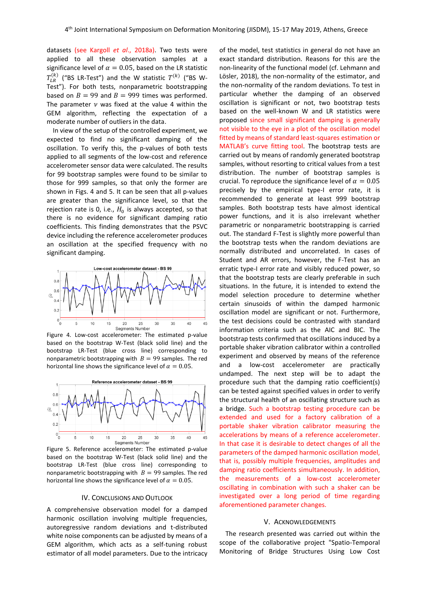datasets (see Kargoll *et al*., 2018a). Two tests were applied to all these observation samples at a significance level of  $\alpha = 0.05$ , based on the LR statistic  $T^{(k)}_{LR}$  ("BS LR-Test") and the W statistic  $T^{(k)}$  ("BS W-Test"). For both tests, nonparametric bootstrapping based on  $B = 99$  and  $B = 999$  times was performed. The parameter  $\nu$  was fixed at the value 4 within the GEM algorithm, reflecting the expectation of a moderate number of outliers in the data.

In view of the setup of the controlled experiment, we expected to find no significant damping of the oscillation. To verify this, the p-values of both tests applied to all segments of the low-cost and reference accelerometer sensor data were calculated. The results for 99 bootstrap samples were found to be similar to those for 999 samples, so that only the former are shown in Figs. 4 and 5. It can be seen that all p-values are greater than the significance level, so that the rejection rate is 0, i.e.,  $H_0$  is always accepted, so that there is no evidence for significant damping ratio coefficients. This finding demonstrates that the PSVC device including the reference accelerometer produces an oscillation at the specified frequency with no significant damping.



Figure 4. Low-cost accelerometer: The estimated p-value based on the bootstrap W-Test (black solid line) and the bootstrap LR-Test (blue cross line) corresponding to nonparametric bootstrapping with  $B = 99$  samples. The red horizontal line shows the significance level of  $\alpha = 0.05$ .



Figure 5. Reference accelerometer: The estimated p-value based on the bootstrap W-Test (black solid line) and the bootstrap LR-Test (blue cross line) corresponding to nonparametric bootstrapping with  $B = 99$  samples. The red horizontal line shows the significance level of  $\alpha = 0.05$ .

#### IV. CONCLUSIONS AND OUTLOOK

A comprehensive observation model for a damped harmonic oscillation involving multiple frequencies, autoregressive random deviations and t-distributed white noise components can be adjusted by means of a GEM algorithm, which acts as a self-tuning robust estimator of all model parameters. Due to the intricacy

of the model, test statistics in general do not have an exact standard distribution. Reasons for this are the non-linearity of the functional model (cf. Lehmann and Lösler, 2018), the non-normality of the estimator, and the non-normality of the random deviations. To test in particular whether the damping of an observed oscillation is significant or not, two bootstrap tests based on the well-known W and LR statistics were proposed since small significant damping is generally not visible to the eye in a plot of the oscillation model fitted by means of standard least-squares estimation or MATLAB's curve fitting tool. The bootstrap tests are carried out by means of randomly generated bootstrap samples, without resorting to critical values from a test distribution. The number of bootstrap samples is crucial. To reproduce the significance level of  $\alpha = 0.05$ precisely by the empirical type-I error rate, it is recommended to generate at least 999 bootstrap samples. Both bootstrap tests have almost identical power functions, and it is also irrelevant whether parametric or nonparametric bootstrapping is carried out. The standard F-Test is slightly more powerful than the bootstrap tests when the random deviations are normally distributed and uncorrelated. In cases of Student and AR errors, however, the F-Test has an erratic type-I error rate and visibly reduced power, so that the bootstrap tests are clearly preferable in such situations. In the future, it is intended to extend the model selection procedure to determine whether certain sinusoids of within the damped harmonic oscillation model are significant or not. Furthermore, the test decisions could be contrasted with standard information criteria such as the AIC and BIC. The bootstrap tests confirmed that oscillations induced by a portable shaker vibration calibrator within a controlled experiment and observed by means of the reference and a low-cost accelerometer are practically undamped. The next step will be to adapt the procedure such that the damping ratio coefficient(s) can be tested against specified values in order to verify the structural health of an oscillating structure such as a bridge. Such a bootstrap testing procedure can be extended and used for a factory calibration of a portable shaker vibration calibrator measuring the accelerations by means of a reference accelerometer. In that case it is desirable to detect changes of all the parameters of the damped harmonic oscillation model, that is, possibly multiple frequencies, amplitudes and damping ratio coefficients simultaneously. In addition, the measurements of a low-cost accelerometer oscillating in combination with such a shaker can be investigated over a long period of time regarding aforementioned parameter changes.

#### V. ACKNOWLEDGEMENTS

The research presented was carried out within the scope of the collaborative project "Spatio-Temporal Monitoring of Bridge Structures Using Low Cost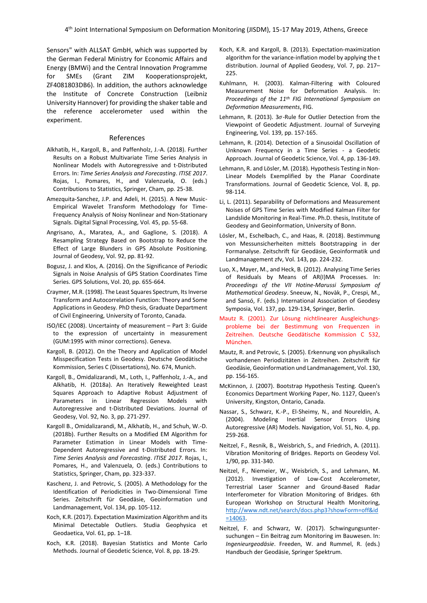Sensors" with ALLSAT GmbH, which was supported by the German Federal Ministry for Economic Affairs and Energy (BMWi) and the Central Innovation Programme for SMEs (Grant ZIM Kooperationsprojekt, ZF4081803DB6). In addition, the authors acknowledge the Institute of Concrete Construction (Leibniz University Hannover) for providing the shaker table and the reference accelerometer used within the experiment.

#### References

- Alkhatib, H., Kargoll, B., and Paffenholz, J.-A. (2018). Further Results on a Robust Multivariate Time Series Analysis in Nonlinear Models with Autoregressive and t-Distributed Errors. In: *Time Series Analysis and Forecasting*. *ITISE 2017*. Rojas, I., Pomares, H., and Valenzuela, O. (eds.) Contributions to Statistics, Springer, Cham, pp. 25-38.
- Amezquita-Sanchez, J.P. and Adeli, H. (2015). A New Music-Empirical Wavelet Transform Methodology for Time-Frequency Analysis of Noisy Nonlinear and Non-Stationary Signals. Digital Signal Processing, Vol. 45, pp. 55-68.
- Angrisano, A., Maratea, A., and Gaglione, S. (2018). A Resampling Strategy Based on Bootstrap to Reduce the Effect of Large Blunders in GPS Absolute Positioning. Journal of Geodesy, Vol. 92, pp. 81-92.
- Bogusz, J. and Klos, A. (2016). On the Significance of Periodic Signals in Noise Analysis of GPS Station Coordinates Time Series. GPS Solutions, Vol. 20, pp. 655-664.
- Craymer, M.R. (1998). The Least Squares Spectrum, Its Inverse Transform and Autocorrelation Function: Theory and Some Applications in Geodesy. PhD thesis, Graduate Department of Civil Engineering, University of Toronto, Canada.
- ISO/IEC (2008). Uncertainty of measurement Part 3: Guide to the expression of uncertainty in measurement (GUM:1995 with minor corrections). Geneva.
- Kargoll, B. (2012). On the Theory and Application of Model Misspecification Tests in Geodesy. Deutsche Geodätische Kommission, Series C (Dissertations), No. 674, Munich.
- Kargoll, B., Omidalizarandi, M., Loth, I., Paffenholz, J.-A., and Alkhatib, H. (2018a). An Iteratively Reweighted Least Squares Approach to Adaptive Robust Adjustment of Parameters in Linear Regression Models with Autoregressive and t-Distributed Deviations. Journal of Geodesy, Vol. 92, No. 3, pp. 271-297.
- Kargoll B., Omidalizarandi, M., Alkhatib, H., and Schuh, W.-D. (2018b). Further Results on a Modified EM Algorithm for Parameter Estimation in Linear Models with Time-Dependent Autoregressive and t-Distributed Errors. In: *Time Series Analysis and Forecasting*. *ITISE 2017*. Rojas, I., Pomares, H., and Valenzuela, O. (eds.) Contributions to Statistics, Springer, Cham, pp. 323-337.
- Kaschenz, J. and Petrovic, S. (2005). A Methodology for the Identification of Periodicities in Two-Dimensional Time Series. Zeitschrift für Geodäsie, Geoinformation und Landmanagement, Vol. 134, pp. 105-112.
- Koch, K.R. (2017). Expectation Maximization Algorithm and its Minimal Detectable Outliers. Studia Geophysica et Geodaetica, Vol. 61, pp. 1–18.
- Koch, K.R. (2018). Bayesian Statistics and Monte Carlo Methods. Journal of Geodetic Science, Vol. 8, pp. 18-29.
- Koch, K.R. and Kargoll, B. (2013). Expectation-maximization algorithm for the variance-inflation model by applying the t distribution. Journal of Applied Geodesy, Vol. 7, pp. 217– 225.
- Kuhlmann, H. (2003). Kalman-Filtering with Coloured Measurement Noise for Deformation Analysis. In: *Proceedings of the 11th FIG International Symposium on Deformation Measurements*, FIG.
- Lehmann, R. (2013).  $3\sigma$ -Rule for Outlier Detection from the Viewpoint of Geodetic Adjustment. Journal of Surveying Engineering, Vol. 139, pp. 157-165.
- Lehmann, R. (2014). Detection of a Sinusoidal Oscillation of Unknown Frequency in a Time Series - a Geodetic Approach. Journal of Geodetic Science, Vol. 4, pp. 136-149.
- Lehmann, R. and Lösler, M. (2018). Hypothesis Testing in Non-Linear Models Exemplified by the Planar Coordinate Transformations. Journal of Geodetic Science, Vol. 8, pp. 98-114.
- Li, L. (2011). Separability of Deformations and Measurement Noises of GPS Time Series with Modified Kalman Filter for Landslide Monitoring in Real-Time. Ph.D. thesis, Institute of Geodesy and Geoinformation, University of Bonn.
- Lösler, M., Eschelbach, C., and Haas, R. (2018). Bestimmung von Messunsicherheiten mittels Bootstrapping in der Formanalyse. Zeitschrift für Geodäsie, Geoinformatik und Landmanagement zfv, Vol. 143, pp. 224-232.
- Luo, X., Mayer, M., and Heck, B. (2012). Analysing Time Series of Residuals by Means of AR(I)MA Processes. In: *Proceedings of the VII Hotine-Marussi Symposium of Mathematical Geodesy*. Sneeuw, N., Novàk, P., Crespi, M., and Sansó, F. (eds.) International Association of Geodesy Symposia, Vol. 137, pp. 129-134, Springer, Berlin.
- Mautz R. (2001). Zur Lösung nichtlinearer Ausgleichungsprobleme bei der Bestimmung von Frequenzen in Zeitreihen. Deutsche Geodätische Kommission C 532, München.
- Mautz, R. and Petrovic, S. (2005). Erkennung von physikalisch vorhandenen Periodizitäten in Zeitreihen. Zeitschrift für Geodäsie, Geoinformation und Landmanagement, Vol. 130, pp. 156-165.
- McKinnon, J. (2007). Bootstrap Hypothesis Testing. Queen's Economics Department Working Paper, No. 1127, Queen's University, Kingston, Ontario, Canada.
- Nassar, S., Schwarz, K.-P., El-Sheimy, N., and Noureldin, A. (2004). Modeling Inertial Sensor Errors Using Autoregressive (AR) Models. Navigation, Vol. 51, No. 4, pp. 259-268.
- Neitzel, F., Resnik, B., Weisbrich, S., and Friedrich, A. (2011). Vibration Monitoring of Bridges. Reports on Geodesy Vol. 1/90, pp. 331-340.
- Neitzel, F., Niemeier, W., Weisbrich, S., and Lehmann, M. (2012). Investigation of Low-Cost Accelerometer, Terrestrial Laser Scanner and Ground-Based Radar Interferometer for Vibration Monitoring of Bridges. 6th European Workshop on Structural Health Monitoring, [http://www.ndt.net/search/docs.php3?showForm=off&id](http://www.ndt.net/search/docs.php3?showForm=off&id=14063) [=14063.](http://www.ndt.net/search/docs.php3?showForm=off&id=14063)
- Neitzel, F. and Schwarz, W. (2017). Schwingungsuntersuchungen – Ein Beitrag zum Monitoring im Bauwesen. In: *Ingenieurgeodäsie*. Freeden, W. and Rummel, R. (eds.) Handbuch der Geodäsie, Springer Spektrum.